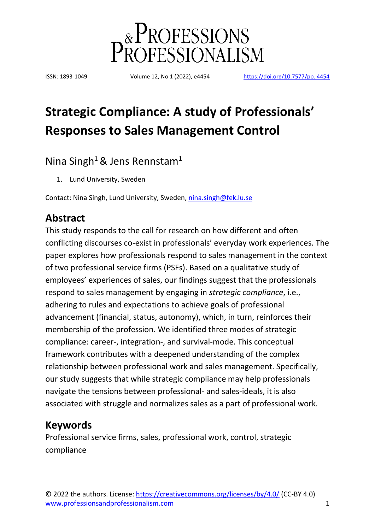

ISSN: 1893-1049 Volume 12, No 1 (2022), e4454 [https://doi.org/10.7577/pp. 4454](https://doi.org/10.7577/pp.%203901)

# **Strategic Compliance: A study of Professionals' Responses to Sales Management Control**

Nina Singh<sup>1</sup> & Jens Rennstam<sup>1</sup>

1. Lund University, Sweden

Contact: Nina Singh, Lund University, Sweden, [nina.singh@fek.lu.se](mailto:nina.singh@fek.lu.se)

# **Abstract**

This study responds to the call for research on how different and often conflicting discourses co-exist in professionals' everyday work experiences. The paper explores how professionals respond to sales management in the context of two professional service firms (PSFs). Based on a qualitative study of employees' experiences of sales, our findings suggest that the professionals respond to sales management by engaging in *strategic compliance*, i.e., adhering to rules and expectations to achieve goals of professional advancement (financial, status, autonomy), which, in turn, reinforces their membership of the profession. We identified three modes of strategic compliance: career-, integration-, and survival-mode. This conceptual framework contributes with a deepened understanding of the complex relationship between professional work and sales management. Specifically, our study suggests that while strategic compliance may help professionals navigate the tensions between professional- and sales-ideals, it is also associated with struggle and normalizes sales as a part of professional work.

### **Keywords**

Professional service firms, sales, professional work, control, strategic compliance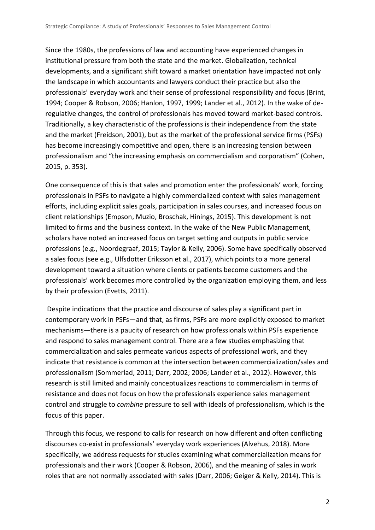Since the 1980s, the professions of law and accounting have experienced changes in institutional pressure from both the state and the market. Globalization, technical developments, and a significant shift toward a market orientation have impacted not only the landscape in which accountants and lawyers conduct their practice but also the professionals' everyday work and their sense of professional responsibility and focus (Brint, 1994; Cooper & Robson, 2006; Hanlon, 1997, 1999; Lander et al., 2012). In the wake of deregulative changes, the control of professionals has moved toward market-based controls. Traditionally, a key characteristic of the professions is their independence from the state and the market (Freidson, 2001), but as the market of the professional service firms (PSFs) has become increasingly competitive and open, there is an increasing tension between professionalism and "the increasing emphasis on commercialism and corporatism" (Cohen, 2015, p. 353).

One consequence of this is that sales and promotion enter the professionals' work, forcing professionals in PSFs to navigate a highly commercialized context with sales management efforts, including explicit sales goals, participation in sales courses, and increased focus on client relationships (Empson, Muzio, Broschak, Hinings, 2015). This development is not limited to firms and the business context. In the wake of the New Public Management, scholars have noted an increased focus on target setting and outputs in public service professions (e.g., Noordegraaf, 2015; Taylor & Kelly, 2006). Some have specifically observed a sales focus (see e.g., Ulfsdotter Eriksson et al., 2017), which points to a more general development toward a situation where clients or patients become customers and the professionals' work becomes more controlled by the organization employing them, and less by their profession (Evetts, 2011).

Despite indications that the practice and discourse of sales play a significant part in contemporary work in PSFs—and that, as firms, PSFs are more explicitly exposed to market mechanisms—there is a paucity of research on how professionals within PSFs experience and respond to sales management control. There are a few studies emphasizing that commercialization and sales permeate various aspects of professional work, and they indicate that resistance is common at the intersection between commercialization/sales and professionalism (Sommerlad, 2011; Darr, 2002; 2006; Lander et al., 2012). However, this research is still limited and mainly conceptualizes reactions to commercialism in terms of resistance and does not focus on how the professionals experience sales management control and struggle to *combine* pressure to sell with ideals of professionalism, which is the focus of this paper.

Through this focus, we respond to calls for research on how different and often conflicting discourses co-exist in professionals' everyday work experiences (Alvehus, 2018). More specifically, we address requests for studies examining what commercialization means for professionals and their work (Cooper & Robson, 2006), and the meaning of sales in work roles that are not normally associated with sales (Darr, 2006; Geiger & Kelly, 2014). This is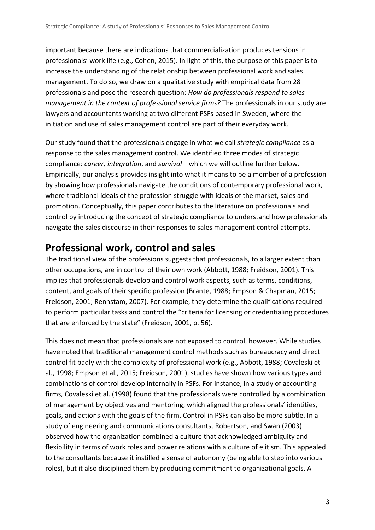important because there are indications that commercialization produces tensions in professionals' work life (e.g., Cohen, 2015). In light of this, the purpose of this paper is to increase the understanding of the relationship between professional work and sales management. To do so, we draw on a qualitative study with empirical data from 28 professionals and pose the research question: *How do professionals respond to sales management in the context of professional service firms?* The professionals in our study are lawyers and accountants working at two different PSFs based in Sweden, where the initiation and use of sales management control are part of their everyday work.

Our study found that the professionals engage in what we call *strategic compliance* as a response to the sales management control. We identified three modes of strategic compliance*: career, integration*, and *survival*—which we will outline further below. Empirically, our analysis provides insight into what it means to be a member of a profession by showing how professionals navigate the conditions of contemporary professional work, where traditional ideals of the profession struggle with ideals of the market, sales and promotion. Conceptually, this paper contributes to the literature on professionals and control by introducing the concept of strategic compliance to understand how professionals navigate the sales discourse in their responses to sales management control attempts.

# **Professional work, control and sales**

The traditional view of the professions suggests that professionals, to a larger extent than other occupations, are in control of their own work (Abbott, 1988; Freidson, 2001). This implies that professionals develop and control work aspects, such as terms, conditions, content, and goals of their specific profession (Brante, 1988; Empson & Chapman, 2015; Freidson, 2001; Rennstam, 2007). For example, they determine the qualifications required to perform particular tasks and control the "criteria for licensing or credentialing procedures that are enforced by the state" (Freidson, 2001, p. 56).

This does not mean that professionals are not exposed to control, however. While studies have noted that traditional management control methods such as bureaucracy and direct control fit badly with the complexity of professional work (e.g., Abbott, 1988; Covaleski et al., 1998; Empson et al., 2015; Freidson, 2001), studies have shown how various types and combinations of control develop internally in PSFs. For instance, in a study of accounting firms, Covaleski et al. (1998) found that the professionals were controlled by a combination of management by objectives and mentoring, which aligned the professionals' identities, goals, and actions with the goals of the firm. Control in PSFs can also be more subtle. In a study of engineering and communications consultants, Robertson, and Swan (2003) observed how the organization combined a culture that acknowledged ambiguity and flexibility in terms of work roles and power relations with a culture of elitism. This appealed to the consultants because it instilled a sense of autonomy (being able to step into various roles), but it also disciplined them by producing commitment to organizational goals. A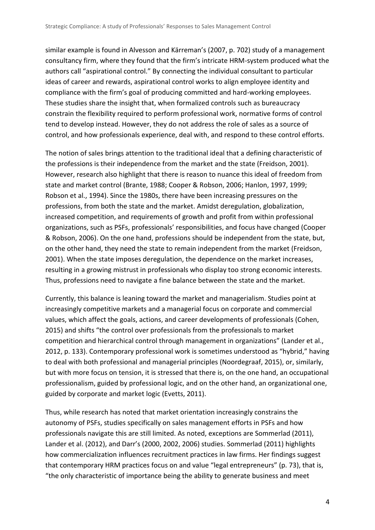similar example is found in Alvesson and Kärreman's (2007, p. 702) study of a management consultancy firm, where they found that the firm's intricate HRM-system produced what the authors call "aspirational control." By connecting the individual consultant to particular ideas of career and rewards, aspirational control works to align employee identity and compliance with the firm's goal of producing committed and hard-working employees. These studies share the insight that, when formalized controls such as bureaucracy constrain the flexibility required to perform professional work, normative forms of control tend to develop instead. However, they do not address the role of sales as a source of control, and how professionals experience, deal with, and respond to these control efforts.

The notion of sales brings attention to the traditional ideal that a defining characteristic of the professions is their independence from the market and the state (Freidson, 2001). However, research also highlight that there is reason to nuance this ideal of freedom from state and market control (Brante, 1988; Cooper & Robson, 2006; Hanlon, 1997, 1999; Robson et al., 1994). Since the 1980s, there have been increasing pressures on the professions, from both the state and the market. Amidst deregulation, globalization, increased competition, and requirements of growth and profit from within professional organizations, such as PSFs, professionals' responsibilities, and focus have changed (Cooper & Robson, 2006). On the one hand, professions should be independent from the state, but, on the other hand, they need the state to remain independent from the market (Freidson, 2001). When the state imposes deregulation, the dependence on the market increases, resulting in a growing mistrust in professionals who display too strong economic interests. Thus, professions need to navigate a fine balance between the state and the market.

Currently, this balance is leaning toward the market and managerialism. Studies point at increasingly competitive markets and a managerial focus on corporate and commercial values, which affect the goals, actions, and career developments of professionals (Cohen, 2015) and shifts "the control over professionals from the professionals to market competition and hierarchical control through management in organizations" (Lander et al., 2012, p. 133). Contemporary professional work is sometimes understood as "hybrid," having to deal with both professional and managerial principles (Noordegraaf, 2015), or, similarly, but with more focus on tension, it is stressed that there is, on the one hand, an occupational professionalism, guided by professional logic, and on the other hand, an organizational one, guided by corporate and market logic (Evetts, 2011).

Thus, while research has noted that market orientation increasingly constrains the autonomy of PSFs, studies specifically on sales management efforts in PSFs and how professionals navigate this are still limited. As noted, exceptions are Sommerlad (2011), Lander et al. (2012), and Darr's (2000, 2002, 2006) studies. Sommerlad (2011) highlights how commercialization influences recruitment practices in law firms. Her findings suggest that contemporary HRM practices focus on and value "legal entrepreneurs" (p. 73), that is, "the only characteristic of importance being the ability to generate business and meet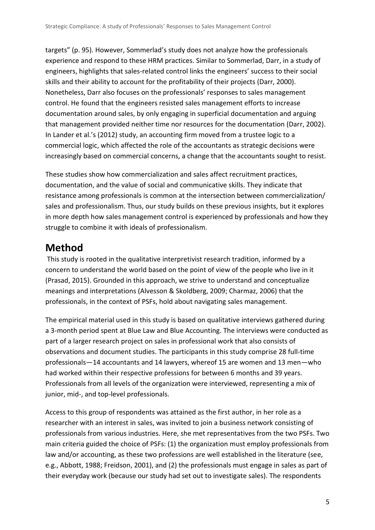targets" (p. 95). However, Sommerlad's study does not analyze how the professionals experience and respond to these HRM practices. Similar to Sommerlad, Darr, in a study of engineers, highlights that sales-related control links the engineers' success to their social skills and their ability to account for the profitability of their projects (Darr, 2000). Nonetheless, Darr also focuses on the professionals' responses to sales management control. He found that the engineers resisted sales management efforts to increase documentation around sales, by only engaging in superficial documentation and arguing that management provided neither time nor resources for the documentation (Darr, 2002). In Lander et al.'s (2012) study, an accounting firm moved from a trustee logic to a commercial logic, which affected the role of the accountants as strategic decisions were increasingly based on commercial concerns, a change that the accountants sought to resist.

These studies show how commercialization and sales affect recruitment practices, documentation, and the value of social and communicative skills. They indicate that resistance among professionals is common at the intersection between commercialization/ sales and professionalism. Thus, our study builds on these previous insights, but it explores in more depth how sales management control is experienced by professionals and how they struggle to combine it with ideals of professionalism.

# **Method**

This study is rooted in the qualitative interpretivist research tradition, informed by a concern to understand the world based on the point of view of the people who live in it (Prasad, 2015). Grounded in this approach, we strive to understand and conceptualize meanings and interpretations (Alvesson & Skoldberg, 2009; Charmaz, 2006) that the professionals, in the context of PSFs, hold about navigating sales management.

The empirical material used in this study is based on qualitative interviews gathered during a 3-month period spent at Blue Law and Blue Accounting. The interviews were conducted as part of a larger research project on sales in professional work that also consists of observations and document studies. The participants in this study comprise 28 full-time professionals—14 accountants and 14 lawyers, whereof 15 are women and 13 men—who had worked within their respective professions for between 6 months and 39 years. Professionals from all levels of the organization were interviewed, representing a mix of junior, mid-, and top-level professionals.

Access to this group of respondents was attained as the first author, in her role as a researcher with an interest in sales, was invited to join a business network consisting of professionals from various industries. Here, she met representatives from the two PSFs. Two main criteria guided the choice of PSFs: (1) the organization must employ professionals from law and/or accounting, as these two professions are well established in the literature (see, e.g., Abbott, 1988; Freidson, 2001), and (2) the professionals must engage in sales as part of their everyday work (because our study had set out to investigate sales). The respondents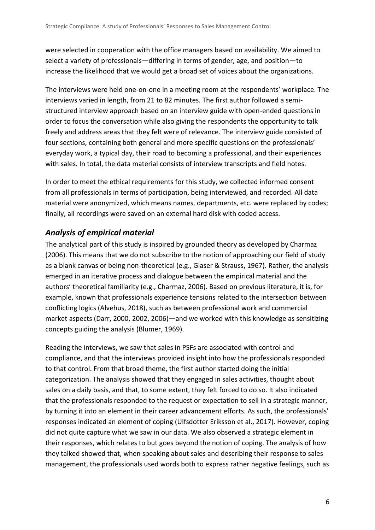were selected in cooperation with the office managers based on availability. We aimed to select a variety of professionals—differing in terms of gender, age, and position—to increase the likelihood that we would get a broad set of voices about the organizations.

The interviews were held one-on-one in a meeting room at the respondents' workplace. The interviews varied in length, from 21 to 82 minutes. The first author followed a semistructured interview approach based on an interview guide with open-ended questions in order to focus the conversation while also giving the respondents the opportunity to talk freely and address areas that they felt were of relevance. The interview guide consisted of four sections, containing both general and more specific questions on the professionals' everyday work, a typical day, their road to becoming a professional, and their experiences with sales. In total, the data material consists of interview transcripts and field notes.

In order to meet the ethical requirements for this study, we collected informed consent from all professionals in terms of participation, being interviewed, and recorded. All data material were anonymized, which means names, departments, etc. were replaced by codes; finally, all recordings were saved on an external hard disk with coded access.

#### *Analysis of empirical material*

The analytical part of this study is inspired by grounded theory as developed by Charmaz (2006). This means that we do not subscribe to the notion of approaching our field of study as a blank canvas or being non-theoretical (e.g., Glaser & Strauss, 1967). Rather, the analysis emerged in an iterative process and dialogue between the empirical material and the authors' theoretical familiarity (e.g., Charmaz, 2006). Based on previous literature, it is, for example, known that professionals experience tensions related to the intersection between conflicting logics (Alvehus, 2018), such as between professional work and commercial market aspects (Darr, 2000, 2002, 2006)—and we worked with this knowledge as sensitizing concepts guiding the analysis (Blumer, 1969).

Reading the interviews, we saw that sales in PSFs are associated with control and compliance, and that the interviews provided insight into how the professionals responded to that control. From that broad theme, the first author started doing the initial categorization. The analysis showed that they engaged in sales activities, thought about sales on a daily basis, and that, to some extent, they felt forced to do so. It also indicated that the professionals responded to the request or expectation to sell in a strategic manner, by turning it into an element in their career advancement efforts. As such, the professionals' responses indicated an element of coping (Ulfsdotter Eriksson et al., 2017). However, coping did not quite capture what we saw in our data. We also observed a strategic element in their responses, which relates to but goes beyond the notion of coping. The analysis of how they talked showed that, when speaking about sales and describing their response to sales management, the professionals used words both to express rather negative feelings, such as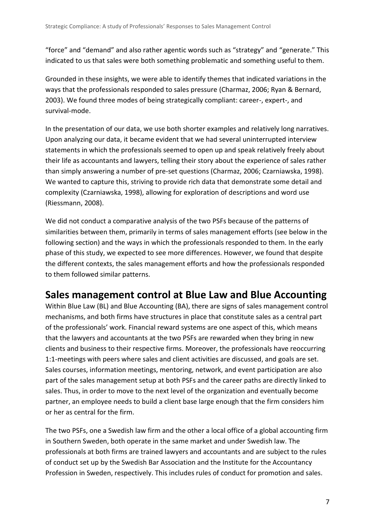"force" and "demand" and also rather agentic words such as "strategy" and "generate." This indicated to us that sales were both something problematic and something useful to them.

Grounded in these insights, we were able to identify themes that indicated variations in the ways that the professionals responded to sales pressure (Charmaz, 2006; Ryan & Bernard, 2003). We found three modes of being strategically compliant: career-, expert-, and survival-mode.

In the presentation of our data, we use both shorter examples and relatively long narratives. Upon analyzing our data, it became evident that we had several uninterrupted interview statements in which the professionals seemed to open up and speak relatively freely about their life as accountants and lawyers, telling their story about the experience of sales rather than simply answering a number of pre-set questions (Charmaz, 2006; Czarniawska, 1998). We wanted to capture this, striving to provide rich data that demonstrate some detail and complexity (Czarniawska, 1998), allowing for exploration of descriptions and word use (Riessmann, 2008).

We did not conduct a comparative analysis of the two PSFs because of the patterns of similarities between them, primarily in terms of sales management efforts (see below in the following section) and the ways in which the professionals responded to them. In the early phase of this study, we expected to see more differences. However, we found that despite the different contexts, the sales management efforts and how the professionals responded to them followed similar patterns.

### **Sales management control at Blue Law and Blue Accounting**

Within Blue Law (BL) and Blue Accounting (BA), there are signs of sales management control mechanisms, and both firms have structures in place that constitute sales as a central part of the professionals' work. Financial reward systems are one aspect of this, which means that the lawyers and accountants at the two PSFs are rewarded when they bring in new clients and business to their respective firms. Moreover, the professionals have reoccurring 1:1-meetings with peers where sales and client activities are discussed, and goals are set. Sales courses, information meetings, mentoring, network, and event participation are also part of the sales management setup at both PSFs and the career paths are directly linked to sales. Thus, in order to move to the next level of the organization and eventually become partner, an employee needs to build a client base large enough that the firm considers him or her as central for the firm.

The two PSFs, one a Swedish law firm and the other a local office of a global accounting firm in Southern Sweden, both operate in the same market and under Swedish law. The professionals at both firms are trained lawyers and accountants and are subject to the rules of conduct set up by the Swedish Bar Association and the Institute for the Accountancy Profession in Sweden, respectively. This includes rules of conduct for promotion and sales.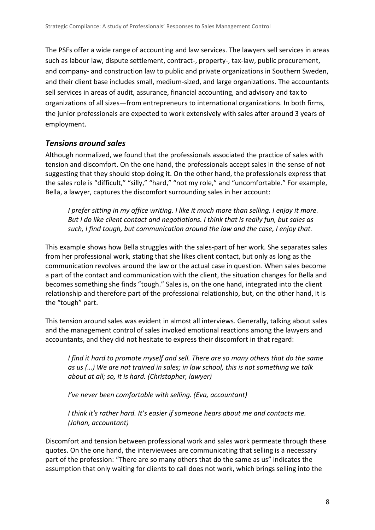The PSFs offer a wide range of accounting and law services. The lawyers sell services in areas such as labour law, dispute settlement, contract-, property-, tax-law, public procurement, and company- and construction law to public and private organizations in Southern Sweden, and their client base includes small, medium-sized, and large organizations. The accountants sell services in areas of audit, assurance, financial accounting, and advisory and tax to organizations of all sizes—from entrepreneurs to international organizations. In both firms, the junior professionals are expected to work extensively with sales after around 3 years of employment.

#### *Tensions around sales*

Although normalized, we found that the professionals associated the practice of sales with tension and discomfort. On the one hand, the professionals accept sales in the sense of not suggesting that they should stop doing it. On the other hand, the professionals express that the sales role is "difficult," "silly," "hard," "not my role," and "uncomfortable." For example, Bella, a lawyer, captures the discomfort surrounding sales in her account:

*I prefer sitting in my office writing. I like it much more than selling. I enjoy it more. But I do like client contact and negotiations. I think that is really fun, but sales as such, I find tough, but communication around the law and the case, I enjoy that.* 

This example shows how Bella struggles with the sales-part of her work. She separates sales from her professional work, stating that she likes client contact, but only as long as the communication revolves around the law or the actual case in question. When sales become a part of the contact and communication with the client, the situation changes for Bella and becomes something she finds "tough." Sales is, on the one hand, integrated into the client relationship and therefore part of the professional relationship, but, on the other hand, it is the "tough" part.

This tension around sales was evident in almost all interviews. Generally, talking about sales and the management control of sales invoked emotional reactions among the lawyers and accountants, and they did not hesitate to express their discomfort in that regard:

*I find it hard to promote myself and sell. There are so many others that do the same as us (…) We are not trained in sales; in law school, this is not something we talk about at all; so, it is hard. (Christopher, lawyer)*

*I've never been comfortable with selling. (Eva, accountant)*

*I think it's rather hard. It's easier if someone hears about me and contacts me. (Johan, accountant)*

Discomfort and tension between professional work and sales work permeate through these quotes. On the one hand, the interviewees are communicating that selling is a necessary part of the profession: "There are so many others that do the same as us" indicates the assumption that only waiting for clients to call does not work, which brings selling into the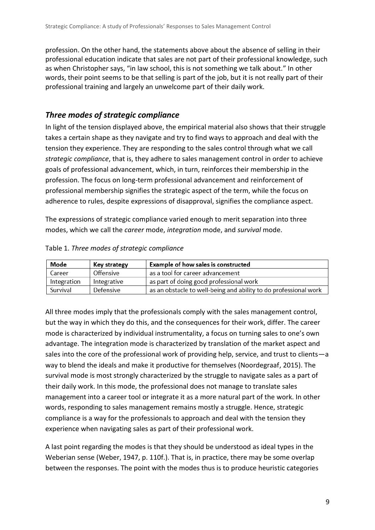profession. On the other hand, the statements above about the absence of selling in their professional education indicate that sales are not part of their professional knowledge, such as when Christopher says, "in law school, this is not something we talk about." In other words, their point seems to be that selling is part of the job, but it is not really part of their professional training and largely an unwelcome part of their daily work.

#### *Three modes of strategic compliance*

In light of the tension displayed above, the empirical material also shows that their struggle takes a certain shape as they navigate and try to find ways to approach and deal with the tension they experience. They are responding to the sales control through what we call *strategic compliance*, that is, they adhere to sales management control in order to achieve goals of professional advancement, which, in turn, reinforces their membership in the profession. The focus on long-term professional advancement and reinforcement of professional membership signifies the strategic aspect of the term, while the focus on adherence to rules, despite expressions of disapproval, signifies the compliance aspect.

The expressions of strategic compliance varied enough to merit separation into three modes, which we call the *career* mode, *integration* mode, and *survival* mode.

| Mode        | Key strategy | <b>Example of how sales is constructed</b>                       |
|-------------|--------------|------------------------------------------------------------------|
| Career      | Offensive    | as a tool for career advancement                                 |
| Integration | Integrative  | as part of doing good professional work                          |
| Survival    | Defensive    | as an obstacle to well-being and ability to do professional work |

| Table 1. Three modes of strategic compliance |  |  |  |
|----------------------------------------------|--|--|--|
|                                              |  |  |  |

All three modes imply that the professionals comply with the sales management control, but the way in which they do this, and the consequences for their work, differ. The career mode is characterized by individual instrumentality, a focus on turning sales to one's own advantage. The integration mode is characterized by translation of the market aspect and sales into the core of the professional work of providing help, service, and trust to clients—a way to blend the ideals and make it productive for themselves (Noordegraaf, 2015). The survival mode is most strongly characterized by the struggle to navigate sales as a part of their daily work. In this mode, the professional does not manage to translate sales management into a career tool or integrate it as a more natural part of the work. In other words, responding to sales management remains mostly a struggle. Hence, strategic compliance is a way for the professionals to approach and deal with the tension they experience when navigating sales as part of their professional work.

A last point regarding the modes is that they should be understood as ideal types in the Weberian sense (Weber, 1947, p. 110f.). That is, in practice, there may be some overlap between the responses. The point with the modes thus is to produce heuristic categories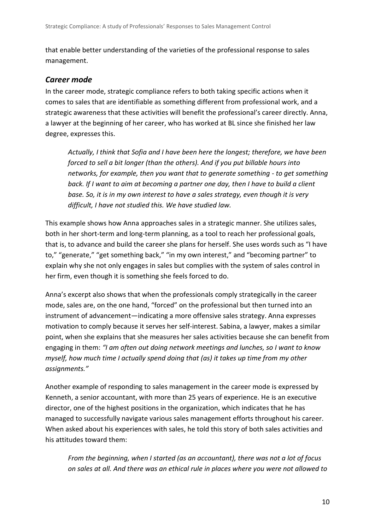that enable better understanding of the varieties of the professional response to sales management.

#### *Career mode*

In the career mode, strategic compliance refers to both taking specific actions when it comes to sales that are identifiable as something different from professional work, and a strategic awareness that these activities will benefit the professional's career directly. Anna, a lawyer at the beginning of her career, who has worked at BL since she finished her law degree, expresses this.

*Actually, I think that Sofia and I have been here the longest; therefore, we have been forced to sell a bit longer (than the others). And if you put billable hours into networks, for example, then you want that to generate something - to get something back. If I want to aim at becoming a partner one day, then I have to build a client base. So, it is in my own interest to have a sales strategy, even though it is very difficult, I have not studied this. We have studied law.* 

This example shows how Anna approaches sales in a strategic manner. She utilizes sales, both in her short-term and long-term planning, as a tool to reach her professional goals, that is, to advance and build the career she plans for herself. She uses words such as "I have to," "generate," "get something back," "in my own interest," and "becoming partner" to explain why she not only engages in sales but complies with the system of sales control in her firm, even though it is something she feels forced to do.

Anna's excerpt also shows that when the professionals comply strategically in the career mode, sales are, on the one hand, "forced" on the professional but then turned into an instrument of advancement—indicating a more offensive sales strategy. Anna expresses motivation to comply because it serves her self-interest. Sabina, a lawyer, makes a similar point, when she explains that she measures her sales activities because she can benefit from engaging in them: *"I am often out doing network meetings and lunches, so I want to know myself, how much time I actually spend doing that (as) it takes up time from my other assignments."* 

Another example of responding to sales management in the career mode is expressed by Kenneth, a senior accountant, with more than 25 years of experience. He is an executive director, one of the highest positions in the organization, which indicates that he has managed to successfully navigate various sales management efforts throughout his career. When asked about his experiences with sales, he told this story of both sales activities and his attitudes toward them:

*From the beginning, when I started (as an accountant), there was not a lot of focus on sales at all. And there was an ethical rule in places where you were not allowed to*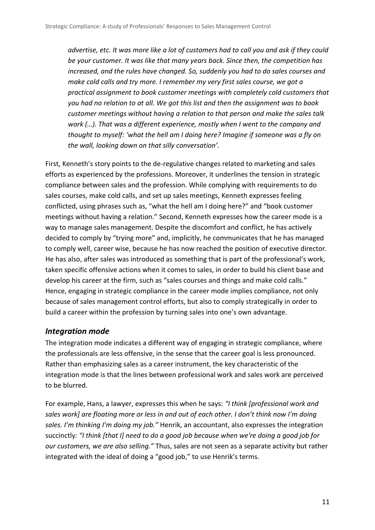*advertise, etc. It was more like a lot of customers had to call you and ask if they could be your customer. It was like that many years back. Since then, the competition has increased, and the rules have changed. So, suddenly you had to do sales courses and make cold calls and try more. I remember my very first sales course, we got a practical assignment to book customer meetings with completely cold customers that you had no relation to at all. We got this list and then the assignment was to book customer meetings without having a relation to that person and make the sales talk work (…). That was a different experience, mostly when I went to the company and thought to myself: 'what the hell am I doing here? Imagine if someone was a fly on the wall, looking down on that silly conversation'.* 

First, Kenneth's story points to the de-regulative changes related to marketing and sales efforts as experienced by the professions. Moreover, it underlines the tension in strategic compliance between sales and the profession. While complying with requirements to do sales courses, make cold calls, and set up sales meetings, Kenneth expresses feeling conflicted, using phrases such as, "what the hell am I doing here?" and "book customer meetings without having a relation." Second, Kenneth expresses how the career mode is a way to manage sales management. Despite the discomfort and conflict, he has actively decided to comply by "trying more" and, implicitly, he communicates that he has managed to comply well, career wise, because he has now reached the position of executive director. He has also, after sales was introduced as something that is part of the professional's work, taken specific offensive actions when it comes to sales, in order to build his client base and develop his career at the firm, such as "sales courses and things and make cold calls." Hence, engaging in strategic compliance in the career mode implies compliance, not only because of sales management control efforts, but also to comply strategically in order to build a career within the profession by turning sales into one's own advantage.

#### *Integration mode*

The integration mode indicates a different way of engaging in strategic compliance, where the professionals are less offensive, in the sense that the career goal is less pronounced. Rather than emphasizing sales as a career instrument, the key characteristic of the integration mode is that the lines between professional work and sales work are perceived to be blurred.

For example, Hans, a lawyer, expresses this when he says: *"I think [professional work and sales work] are floating more or less in and out of each other. I don't think now I'm doing sales. I'm thinking I'm doing my job."* Henrik, an accountant, also expresses the integration succinctly*: "I think [that I] need to do a good job because when we're doing a good job for our customers, we are also selling."* Thus, sales are not seen as a separate activity but rather integrated with the ideal of doing a "good job," to use Henrik's terms.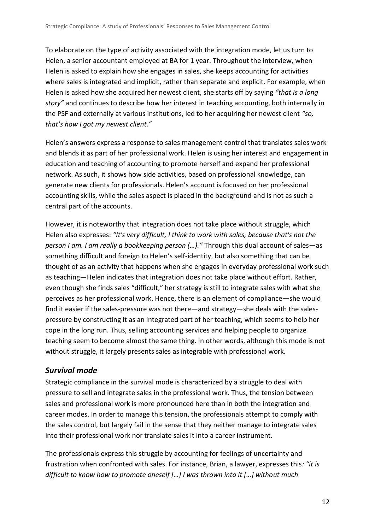To elaborate on the type of activity associated with the integration mode, let us turn to Helen, a senior accountant employed at BA for 1 year. Throughout the interview, when Helen is asked to explain how she engages in sales, she keeps accounting for activities where sales is integrated and implicit, rather than separate and explicit. For example, when Helen is asked how she acquired her newest client, she starts off by saying *"that is a long story"* and continues to describe how her interest in teaching accounting, both internally in the PSF and externally at various institutions, led to her acquiring her newest client *"so, that's how I got my newest client."*

Helen's answers express a response to sales management control that translates sales work and blends it as part of her professional work. Helen is using her interest and engagement in education and teaching of accounting to promote herself and expand her professional network. As such, it shows how side activities, based on professional knowledge, can generate new clients for professionals. Helen's account is focused on her professional accounting skills, while the sales aspect is placed in the background and is not as such a central part of the accounts.

However, it is noteworthy that integration does not take place without struggle, which Helen also expresses: *"It's very difficult, I think to work with sales, because that's not the person I am. I am really a bookkeeping person (…)."* Through this dual account of sales—as something difficult and foreign to Helen's self-identity, but also something that can be thought of as an activity that happens when she engages in everyday professional work such as teaching—Helen indicates that integration does not take place without effort. Rather, even though she finds sales "difficult," her strategy is still to integrate sales with what she perceives as her professional work. Hence, there is an element of compliance—she would find it easier if the sales-pressure was not there—and strategy—she deals with the salespressure by constructing it as an integrated part of her teaching, which seems to help her cope in the long run. Thus, selling accounting services and helping people to organize teaching seem to become almost the same thing. In other words, although this mode is not without struggle, it largely presents sales as integrable with professional work.

#### *Survival mode*

Strategic compliance in the survival mode is characterized by a struggle to deal with pressure to sell and integrate sales in the professional work. Thus, the tension between sales and professional work is more pronounced here than in both the integration and career modes. In order to manage this tension, the professionals attempt to comply with the sales control, but largely fail in the sense that they neither manage to integrate sales into their professional work nor translate sales it into a career instrument.

The professionals express this struggle by accounting for feelings of uncertainty and frustration when confronted with sales. For instance, Brian, a lawyer, expresses this*: "it is difficult to know how to promote oneself [...] I was thrown into it [...] without much*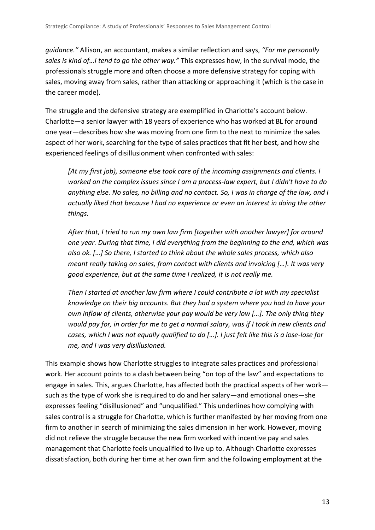*guidance."* Allison, an accountant, makes a similar reflection and says, *"For me personally sales is kind of…I tend to go the other way."* This expresses how, in the survival mode, the professionals struggle more and often choose a more defensive strategy for coping with sales, moving away from sales, rather than attacking or approaching it (which is the case in the career mode).

The struggle and the defensive strategy are exemplified in Charlotte's account below. Charlotte—a senior lawyer with 18 years of experience who has worked at BL for around one year—describes how she was moving from one firm to the next to minimize the sales aspect of her work, searching for the type of sales practices that fit her best, and how she experienced feelings of disillusionment when confronted with sales:

*[At my first job), someone else took care of the incoming assignments and clients. I worked on the complex issues since I am a process-law expert, but I didn't have to do anything else. No sales, no billing and no contact. So, I was in charge of the law, and I actually liked that because I had no experience or even an interest in doing the other things.* 

*After that, I tried to run my own law firm [together with another lawyer] for around one year. During that time, I did everything from the beginning to the end, which was also ok. […] So there, I started to think about the whole sales process, which also meant really taking on sales, from contact with clients and invoicing […]. It was very good experience, but at the same time I realized, it is not really me.* 

*Then I started at another law firm where I could contribute a lot with my specialist knowledge on their big accounts. But they had a system where you had to have your own inflow of clients, otherwise your pay would be very low […]. The only thing they would pay for, in order for me to get a normal salary, was if I took in new clients and cases, which I was not equally qualified to do […]. I just felt like this is a lose-lose for me, and I was very disillusioned.*

This example shows how Charlotte struggles to integrate sales practices and professional work. Her account points to a clash between being "on top of the law" and expectations to engage in sales. This, argues Charlotte, has affected both the practical aspects of her work such as the type of work she is required to do and her salary—and emotional ones—she expresses feeling "disillusioned" and "unqualified." This underlines how complying with sales control is a struggle for Charlotte, which is further manifested by her moving from one firm to another in search of minimizing the sales dimension in her work. However, moving did not relieve the struggle because the new firm worked with incentive pay and sales management that Charlotte feels unqualified to live up to. Although Charlotte expresses dissatisfaction, both during her time at her own firm and the following employment at the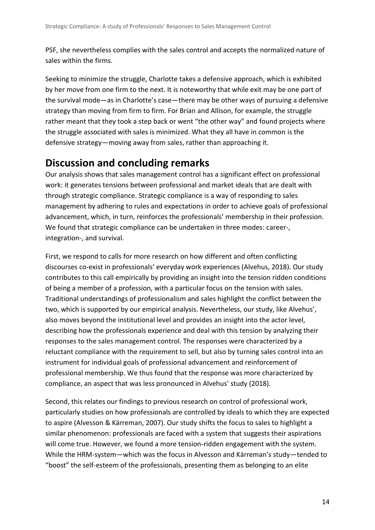PSF, she nevertheless complies with the sales control and accepts the normalized nature of sales within the firms.

Seeking to minimize the struggle, Charlotte takes a defensive approach, which is exhibited by her move from one firm to the next. It is noteworthy that while exit may be one part of the survival mode—as in Charlotte's case—there may be other ways of pursuing a defensive strategy than moving from firm to firm. For Brian and Allison, for example, the struggle rather meant that they took a step back or went "the other way" and found projects where the struggle associated with sales is minimized. What they all have in common is the defensive strategy—moving away from sales, rather than approaching it.

# **Discussion and concluding remarks**

Our analysis shows that sales management control has a significant effect on professional work: it generates tensions between professional and market ideals that are dealt with through strategic compliance. Strategic compliance is a way of responding to sales management by adhering to rules and expectations in order to achieve goals of professional advancement, which, in turn, reinforces the professionals' membership in their profession. We found that strategic compliance can be undertaken in three modes: career-, integration-, and survival.

First, we respond to calls for more research on how different and often conflicting discourses co-exist in professionals' everyday work experiences (Alvehus, 2018). Our study contributes to this call empirically by providing an insight into the tension ridden conditions of being a member of a profession, with a particular focus on the tension with sales. Traditional understandings of professionalism and sales highlight the conflict between the two, which is supported by our empirical analysis. Nevertheless, our study, like Alvehus', also moves beyond the institutional level and provides an insight into the actor level, describing how the professionals experience and deal with this tension by analyzing their responses to the sales management control. The responses were characterized by a reluctant compliance with the requirement to sell, but also by turning sales control into an instrument for individual goals of professional advancement and reinforcement of professional membership. We thus found that the response was more characterized by compliance, an aspect that was less pronounced in Alvehus' study (2018).

Second, this relates our findings to previous research on control of professional work, particularly studies on how professionals are controlled by ideals to which they are expected to aspire (Alvesson & Kärreman, 2007). Our study shifts the focus to sales to highlight a similar phenomenon: professionals are faced with a system that suggests their aspirations will come true. However, we found a more tension-ridden engagement with the system. While the HRM-system—which was the focus in Alvesson and Kärreman's study—tended to "boost" the self-esteem of the professionals, presenting them as belonging to an elite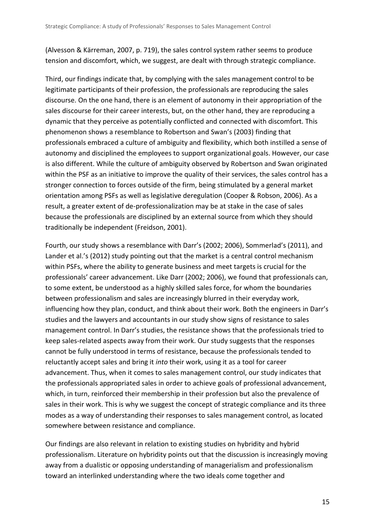(Alvesson & Kärreman, 2007, p. 719), the sales control system rather seems to produce tension and discomfort, which, we suggest, are dealt with through strategic compliance.

Third, our findings indicate that, by complying with the sales management control to be legitimate participants of their profession, the professionals are reproducing the sales discourse. On the one hand, there is an element of autonomy in their appropriation of the sales discourse for their career interests, but, on the other hand, they are reproducing a dynamic that they perceive as potentially conflicted and connected with discomfort. This phenomenon shows a resemblance to Robertson and Swan's (2003) finding that professionals embraced a culture of ambiguity and flexibility, which both instilled a sense of autonomy and disciplined the employees to support organizational goals. However, our case is also different. While the culture of ambiguity observed by Robertson and Swan originated within the PSF as an initiative to improve the quality of their services, the sales control has a stronger connection to forces outside of the firm, being stimulated by a general market orientation among PSFs as well as legislative deregulation (Cooper & Robson, 2006). As a result, a greater extent of de-professionalization may be at stake in the case of sales because the professionals are disciplined by an external source from which they should traditionally be independent (Freidson, 2001).

Fourth, our study shows a resemblance with Darr's (2002; 2006), Sommerlad's (2011), and Lander et al.'s (2012) study pointing out that the market is a central control mechanism within PSFs, where the ability to generate business and meet targets is crucial for the professionals' career advancement. Like Darr (2002; 2006), we found that professionals can, to some extent, be understood as a highly skilled sales force, for whom the boundaries between professionalism and sales are increasingly blurred in their everyday work, influencing how they plan, conduct, and think about their work. Both the engineers in Darr's studies and the lawyers and accountants in our study show signs of resistance to sales management control. In Darr's studies, the resistance shows that the professionals tried to keep sales-related aspects away from their work. Our study suggests that the responses cannot be fully understood in terms of resistance, because the professionals tended to reluctantly accept sales and bring it *into* their work, using it as a tool for career advancement. Thus, when it comes to sales management control, our study indicates that the professionals appropriated sales in order to achieve goals of professional advancement, which, in turn, reinforced their membership in their profession but also the prevalence of sales in their work. This is why we suggest the concept of strategic compliance and its three modes as a way of understanding their responses to sales management control, as located somewhere between resistance and compliance.

Our findings are also relevant in relation to existing studies on hybridity and hybrid professionalism. Literature on hybridity points out that the discussion is increasingly moving away from a dualistic or opposing understanding of managerialism and professionalism toward an interlinked understanding where the two ideals come together and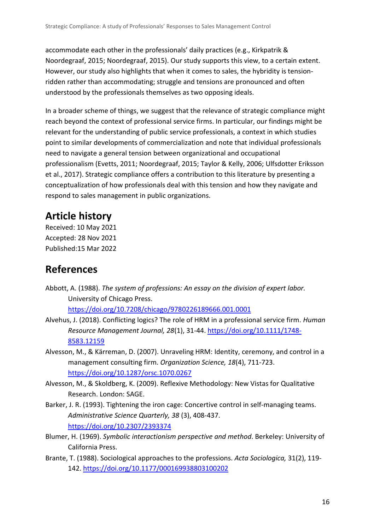accommodate each other in the professionals' daily practices (e.g., Kirkpatrik & Noordegraaf, 2015; Noordegraaf, 2015). Our study supports this view, to a certain extent. However, our study also highlights that when it comes to sales, the hybridity is tensionridden rather than accommodating; struggle and tensions are pronounced and often understood by the professionals themselves as two opposing ideals.

In a broader scheme of things, we suggest that the relevance of strategic compliance might reach beyond the context of professional service firms. In particular, our findings might be relevant for the understanding of public service professionals, a context in which studies point to similar developments of commercialization and note that individual professionals need to navigate a general tension between organizational and occupational professionalism (Evetts, 2011; Noordegraaf, 2015; Taylor & Kelly, 2006; Ulfsdotter Eriksson et al., 2017). Strategic compliance offers a contribution to this literature by presenting a conceptualization of how professionals deal with this tension and how they navigate and respond to sales management in public organizations.

# **Article history**

Received: 10 May 2021 Accepted: 28 Nov 2021 Published:15 Mar 2022

### **References**

Abbott, A. (1988). *The system of professions: An essay on the division of expert labor.* University of Chicago Press.

<https://doi.org/10.7208/chicago/9780226189666.001.0001>

- Alvehus, J. (2018). Conflicting logics? The role of HRM in a professional service firm. *Human Resource Management Journal, 28*(1), 31-44. [https://doi.org/10.1111/1748-](https://doi.org/10.1111/1748-8583.12159) [8583.12159](https://doi.org/10.1111/1748-8583.12159)
- Alvesson, M., & Kärreman, D. (2007). Unraveling HRM: Identity, ceremony, and control in a management consulting firm. *Organization Science, 18*(4), 711-723. <https://doi.org/10.1287/orsc.1070.0267>
- Alvesson, M., & Skoldberg, K. (2009). Reflexive Methodology: New Vistas for Qualitative Research. London: SAGE.
- Barker, J. R. (1993). Tightening the iron cage: Concertive control in self-managing teams. *Administrative Science Quarterly, 38* (3), 408-437. <https://doi.org/10.2307/2393374>
- Blumer, H. (1969). *Symbolic interactionism perspective and method*. Berkeley: University of California Press.
- Brante, T. (1988). Sociological approaches to the professions. *Acta Sociologica,* 31(2), 119- 142. <https://doi.org/10.1177/000169938803100202>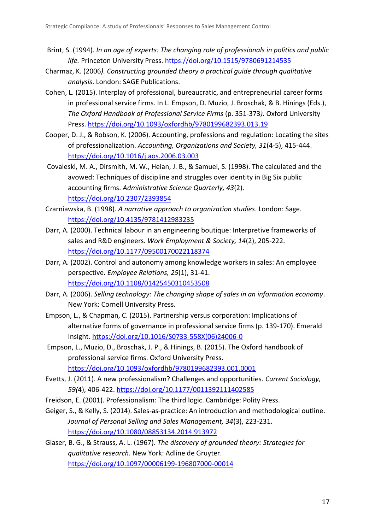- Brint, S. (1994). *In an age of experts: The changing role of professionals in politics and public life.* Princeton University Press. <https://doi.org/10.1515/9780691214535>
- Charmaz, K. (2006*). Constructing grounded theory a practical guide through qualitative analysis*. London: SAGE Publications.
- Cohen, L. (2015). Interplay of professional, bureaucratic, and entrepreneurial career forms in professional service firms. In L. Empson, D. Muzio, J. Broschak, & B. Hinings (Eds.), *The Oxford Handbook of Professional Service Firms* (p. 351-373*)*. Oxford University Press. <https://doi.org/10.1093/oxfordhb/9780199682393.013.19>
- Cooper, D. J., & Robson, K. (2006). Accounting, professions and regulation: Locating the sites of professionalization. *Accounting, Organizations and Society, 31*(4-5), 415-444. <https://doi.org/10.1016/j.aos.2006.03.003>
- Covaleski, M. A., Dirsmith, M. W., Heian, J. B., & Samuel, S. (1998). The calculated and the avowed: Techniques of discipline and struggles over identity in Big Six public accounting firms. *Administrative Science Quarterly, 43*(2). <https://doi.org/10.2307/2393854>
- Czarniawska, B. (1998). *A narrative approach to organization studies*. London: Sage. <https://doi.org/10.4135/9781412983235>
- Darr, A. (2000). Technical labour in an engineering boutique: Interpretive frameworks of sales and R&D engineers. *Work Employment & Society, 14*(2), 205-222. <https://doi.org/10.1177/09500170022118374>
- Darr, A. (2002). Control and autonomy among knowledge workers in sales: An employee perspective. *Employee Relations, 25*(1), 31-41. <https://doi.org/10.1108/01425450310453508>
- Darr, A. (2006). *Selling technology: The changing shape of sales in an information economy*. New York: Cornell University Press.
- Empson, L., & Chapman, C. (2015). Partnership versus corporation: Implications of alternative forms of governance in professional service firms (p. 139-170). Emerald Insight. [https://doi.org/10.1016/S0733-558X\(06\)24006-0](https://doi.org/10.1016/S0733-558X(06)24006-0)
- Empson, L., Muzio, D., Broschak, J. P., & Hinings, B. (2015). The Oxford handbook of professional service firms. Oxford University Press. <https://doi.org/10.1093/oxfordhb/9780199682393.001.0001>
- Evetts, J. (2011). A new professionalism? Challenges and opportunities. *Current Sociology, 59(*4), 406-422. <https://doi.org/10.1177/0011392111402585>
- Freidson, E. (2001). Professionalism: The third logic. Cambridge: Polity Press.
- Geiger, S., & Kelly, S. (2014). Sales-as-practice: An introduction and methodological outline. *Journal of Personal Selling and Sales Management, 34*(3), 223-231. <https://doi.org/10.1080/08853134.2014.913972>
- Glaser, B. G., & Strauss, A. L. (1967). *The discovery of grounded theory: Strategies for qualitative research*. New York: Adline de Gruyter. <https://doi.org/10.1097/00006199-196807000-00014>